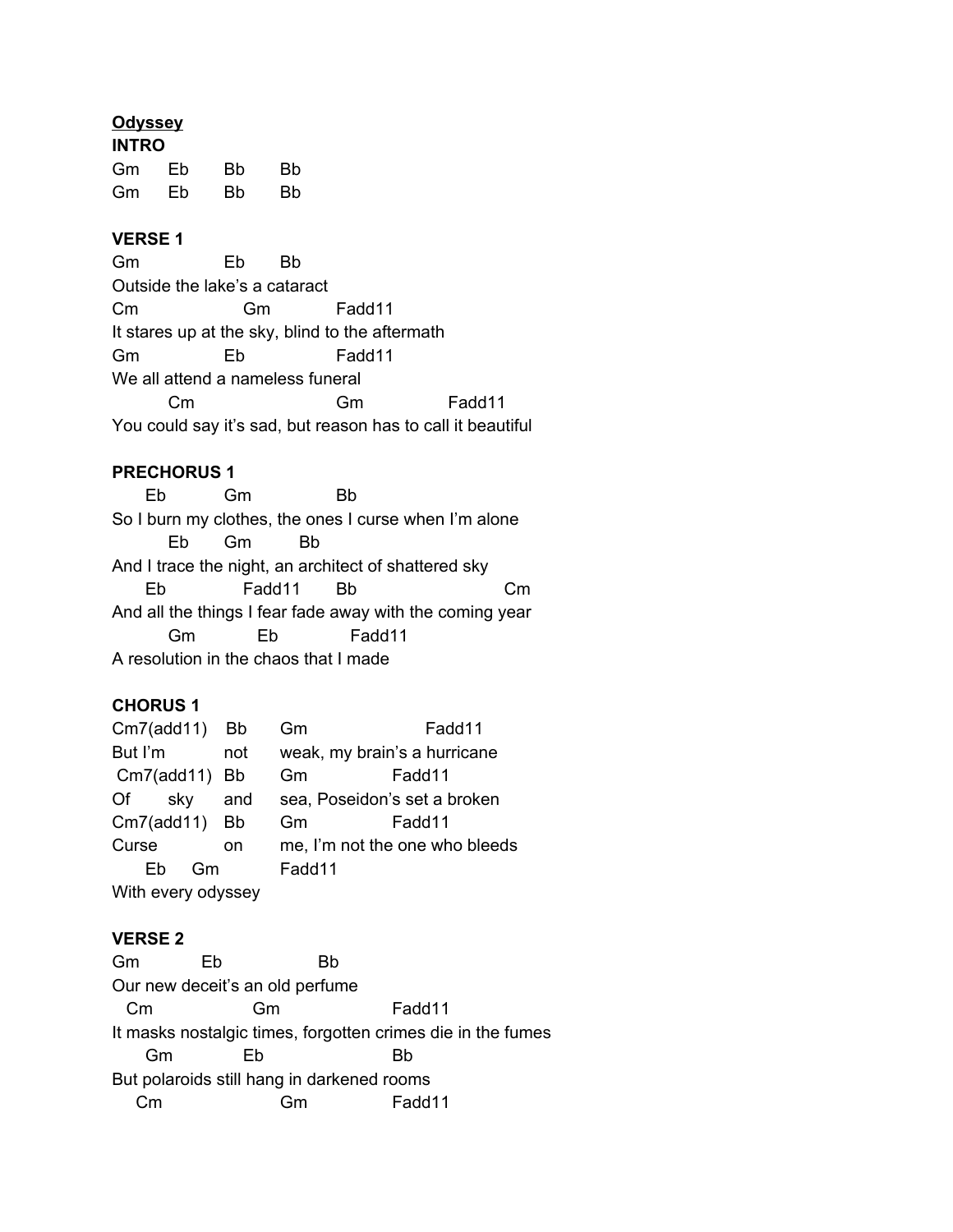### **Odyssey**

| <b>INTRO</b> |    |           |    |  |
|--------------|----|-----------|----|--|
| Gm           | Eb | Bb        | Bb |  |
| Gm           | Eb | <b>Bb</b> | Bb |  |

### **VERSE 1**

Gm Eb Bb Outside the lake's a cataract Cm Gm Fadd11 It stares up at the sky, blind to the aftermath Gm Eb Fadd11 We all attend a nameless funeral Cm Gm Fadd11 You could say it's sad, but reason has to call it beautiful

## **PRECHORUS 1**

Eb Gm Bb So I burn my clothes, the ones I curse when I'm alone Eb Gm Bb And I trace the night, an architect of shattered sky Eb Fadd11 Bb Cm And all the things I fear fade away with the coming year Gm Eb Fadd11 A resolution in the chaos that I made

### **CHORUS 1**

| Cm7(add11)         | Bb        | Gm                           | Fadd11                         |  |  |
|--------------------|-----------|------------------------------|--------------------------------|--|--|
| But I'm            | not       | weak, my brain's a hurricane |                                |  |  |
| $Cm7$ (add11)      | <b>Bb</b> | Gm<br>Fadd11                 |                                |  |  |
| Of<br>sky          | and       |                              | sea, Poseidon's set a broken   |  |  |
| Cm7(add11)         | <b>Bb</b> | Gm                           | Fadd11                         |  |  |
| Curse              | on        |                              | me, I'm not the one who bleeds |  |  |
| Gm<br>Fh           |           | Fadd11                       |                                |  |  |
| With every odyssey |           |                              |                                |  |  |
|                    |           |                              |                                |  |  |

#### **VERSE 2**

Gm Eb Bb Our new deceit's an old perfume Cm Gm Fadd11 It masks nostalgic times, forgotten crimes die in the fumes Gm Eb Bb But polaroids still hang in darkened rooms Cm Gm Fadd11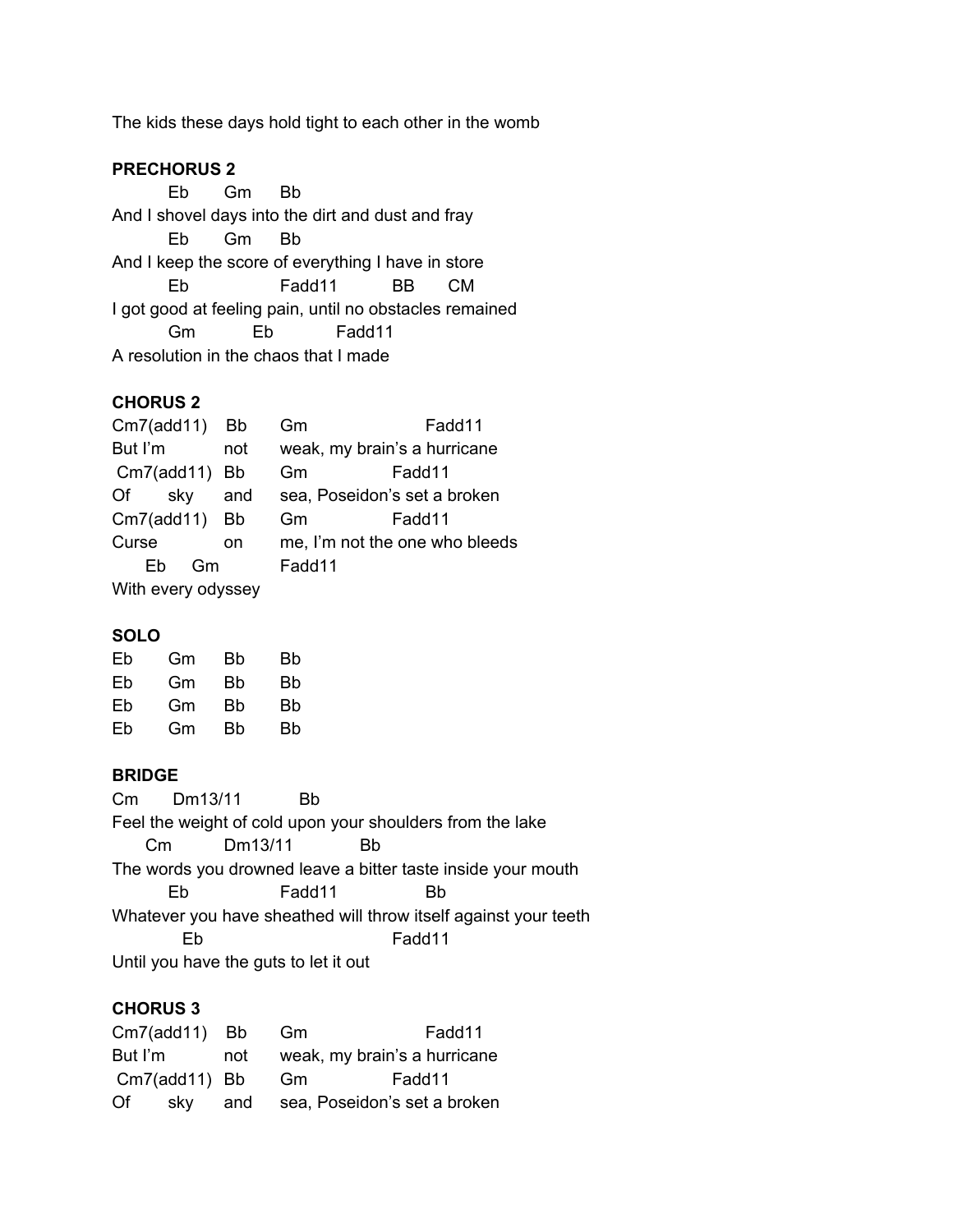The kids these days hold tight to each other in the womb

### **PRECHORUS 2**

Eb Gm Bb And I shovel days into the dirt and dust and fray Eb Gm Bb And I keep the score of everything I have in store Eb Fadd11 BB CM I got good at feeling pain, until no obstacles remained Gm Eb Fadd11 A resolution in the chaos that I made

### **CHORUS 2**

| $Cm7$ (add11)      | Bb        | Gm                           | Fadd11                         |
|--------------------|-----------|------------------------------|--------------------------------|
| But I'm            | not       | weak, my brain's a hurricane |                                |
| $Cm7$ (add11)      | <b>Bb</b> | Gm<br>Fadd11                 |                                |
| sky<br>Of          | and       |                              | sea, Poseidon's set a broken   |
| Cm7(add11) Bb      |           | Gm                           | Fadd11                         |
| Curse              | on        |                              | me, I'm not the one who bleeds |
| Fh<br>Gm           |           | Fadd11                       |                                |
| With every odyssey |           |                              |                                |

### **SOLO**

| Eb | Gm | Bb | Bb |
|----|----|----|----|
| Eb | Gm | Bb | Bb |
| Eb | Gm | Bb | Bb |
| Eb | Gm | Bb | Bb |
|    |    |    |    |

#### **BRIDGE**

Cm Dm13/11 Bb Feel the weight of cold upon your shoulders from the lake Cm Dm13/11 Bb The words you drowned leave a bitter taste inside your mouth Eb Fadd11 Bb Whatever you have sheathed will throw itself against your teeth Eb Fadd11 Until you have the guts to let it out

#### **CHORUS 3**

|         | Cm7(add11) Bb |     | - Gm                                 | Fadd11 |
|---------|---------------|-----|--------------------------------------|--------|
| But I'm |               | not | weak, my brain's a hurricane         |        |
|         | Cm7(add11) Bb |     | Gm                                   | Fadd11 |
| Of      |               |     | sky and sea, Poseidon's set a broken |        |